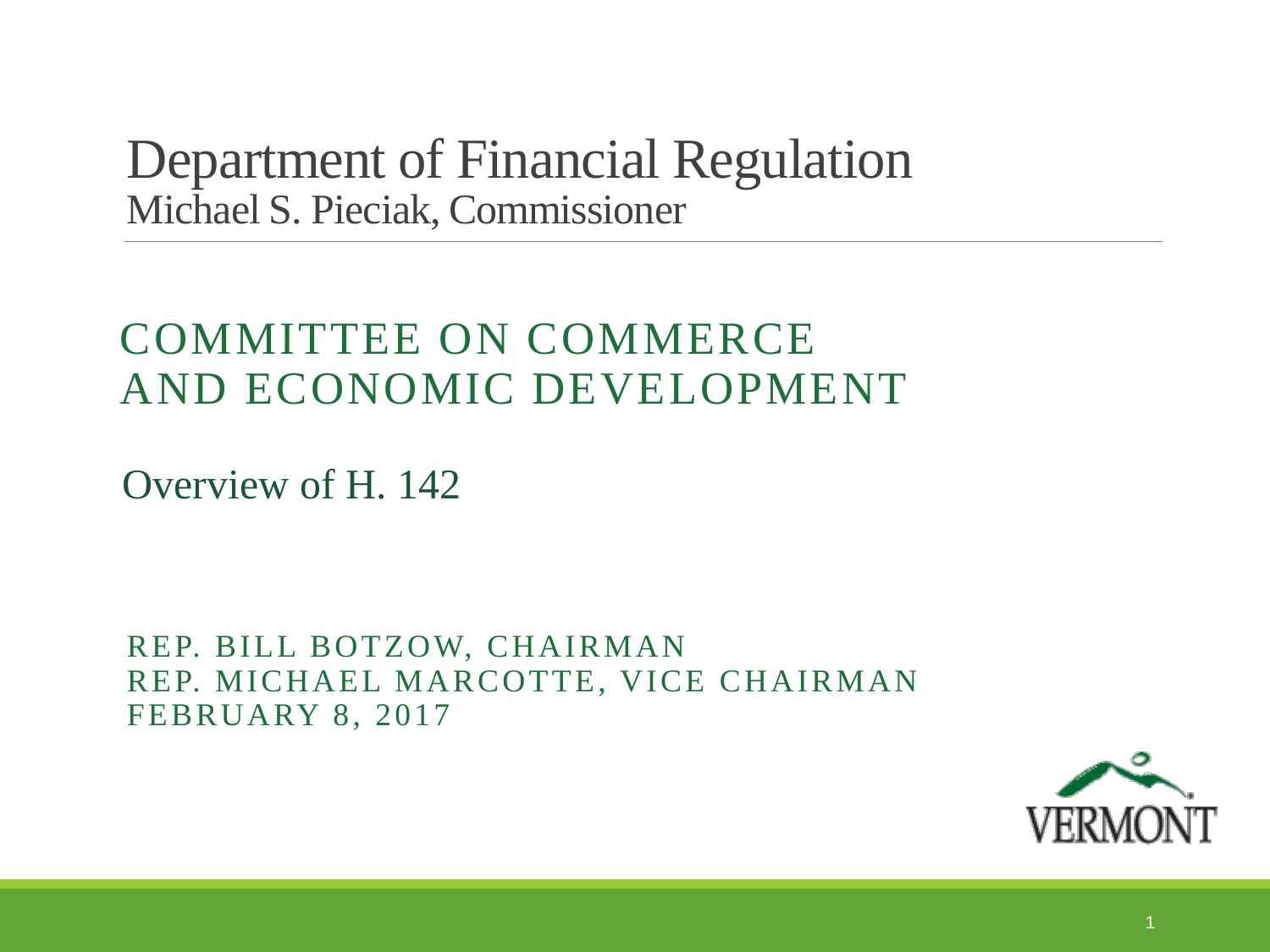Department of Financial Regulation Michael S. Pieciak, Commissioner

## COMMITTEE ON COMMERCE AND ECONOMIC DEVELOPMENT

Overview of H. 142

REP. BILL BOTZOW, CHAIRMAN REP. MICHAEL MARCOTTE, VICE CHAIRMAN FEBRUARY 8, 2017

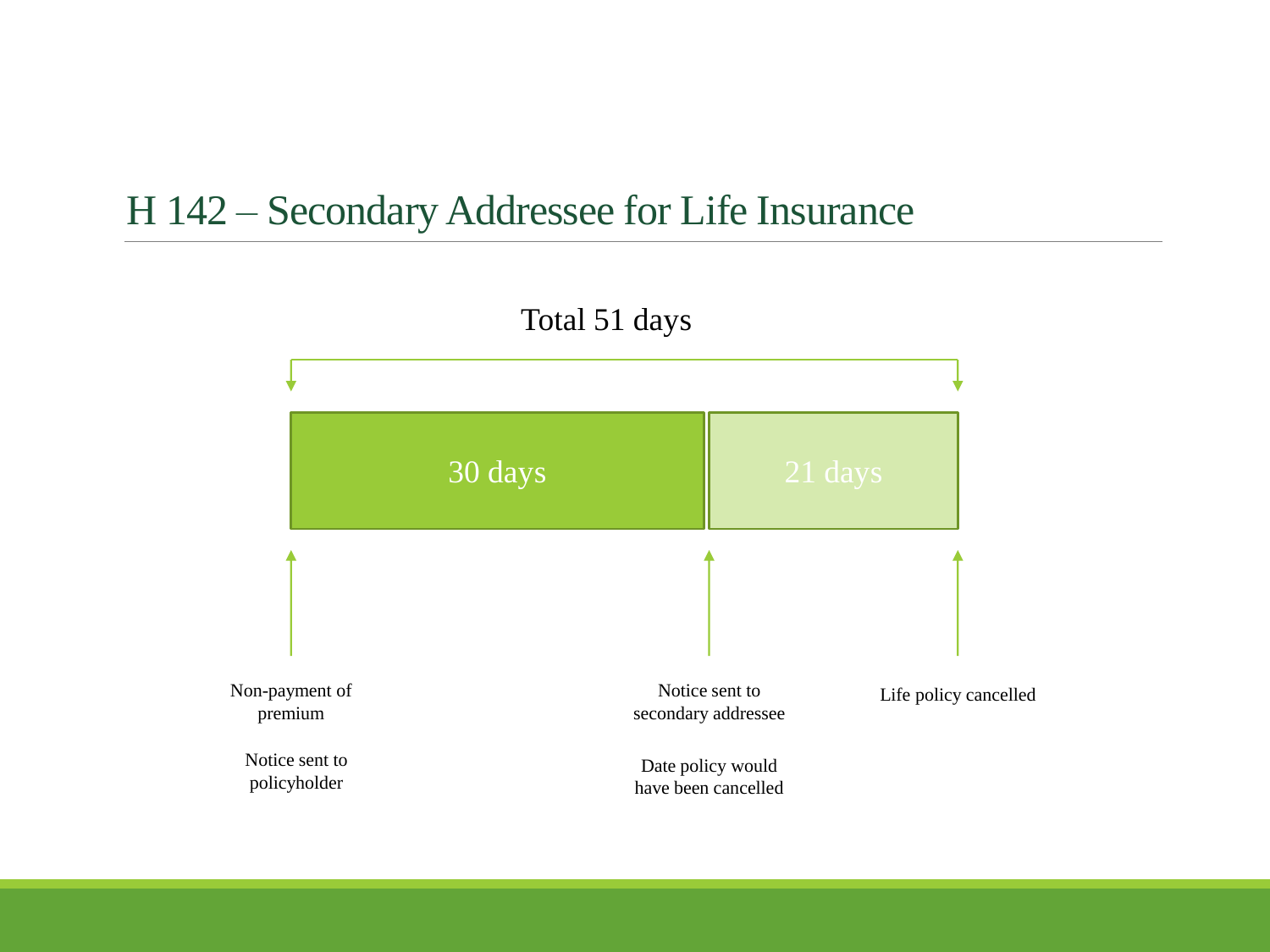## H 142 – Secondary Addressee for Life Insurance

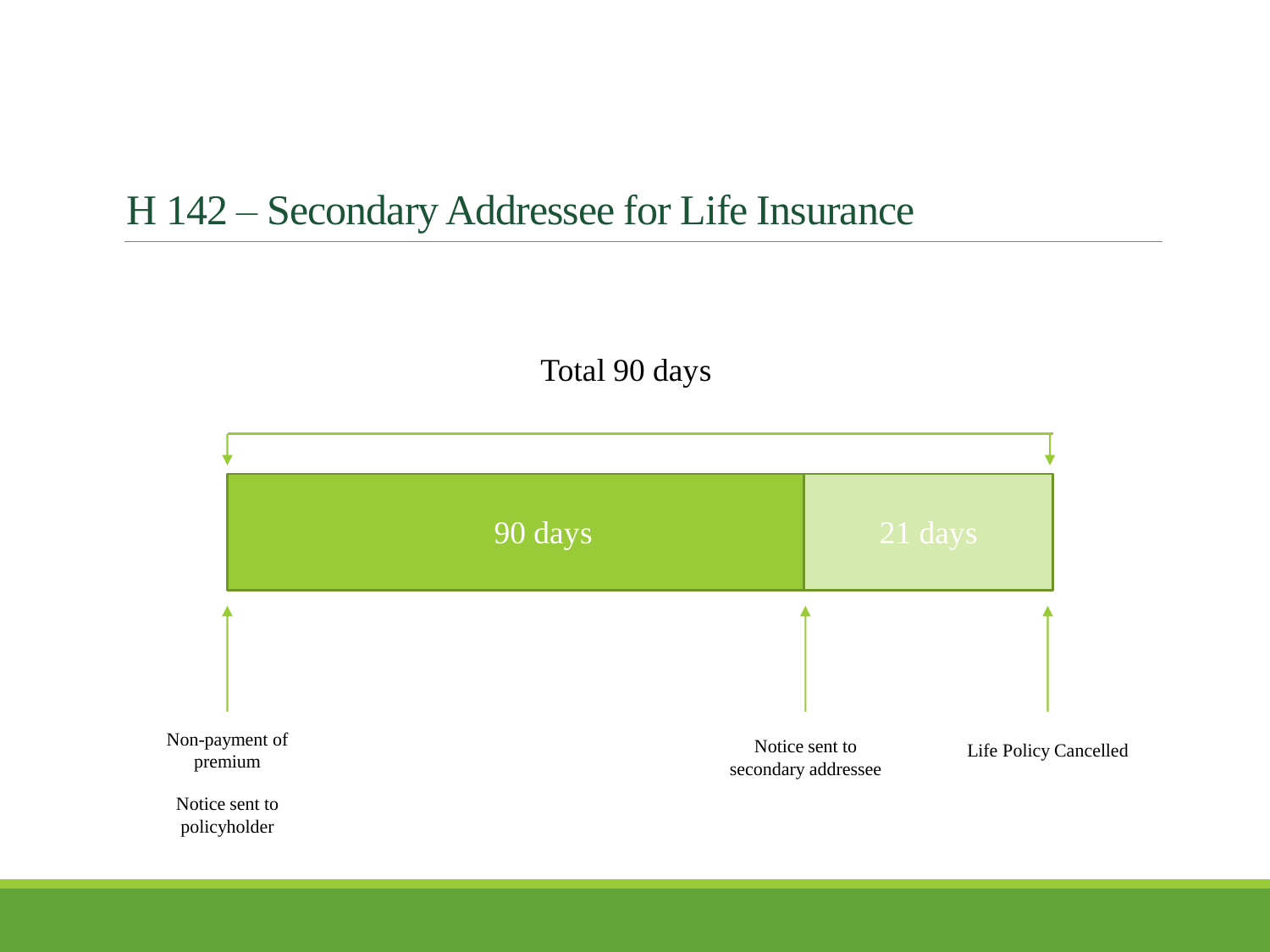## H 142 – Secondary Addressee for Life Insurance

Total 90 days